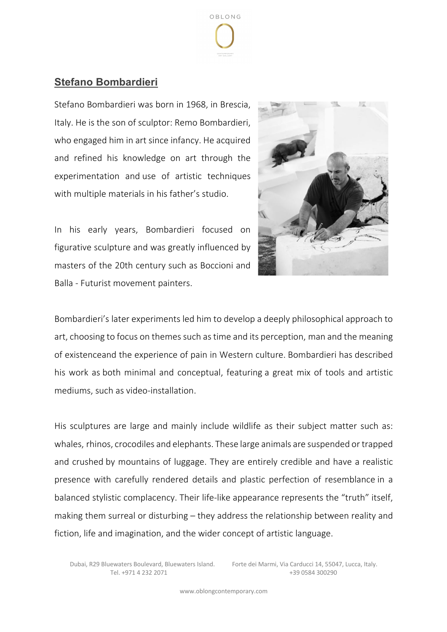

## **Stefano Bombardieri**

Stefano Bombardieri was born in 1968, in Brescia, Italy. He is the son of sculptor: Remo Bombardieri, who engaged him in art since infancy. He acquired and refined his knowledge on art through the experimentation and use of artistic techniques with multiple materials in his father's studio.





Bombardieri's later experiments led him to develop a deeply philosophical approach to art, choosing to focus on themes such as time and its perception, man and the meaning of existenceand the experience of pain in Western culture. Bombardieri has described his work as both minimal and conceptual, featuring a great mix of tools and artistic mediums, such as video-installation.

His sculptures are large and mainly include wildlife as their subject matter such as: whales, rhinos, crocodiles and elephants. These large animals are suspended or trapped and crushed by mountains of luggage. They are entirely credible and have a realistic presence with carefully rendered details and plastic perfection of resemblance in a balanced stylistic complacency. Their life-like appearance represents the "truth" itself, making them surreal or disturbing – they address the relationship between reality and fiction, life and imagination, and the wider concept of artistic language.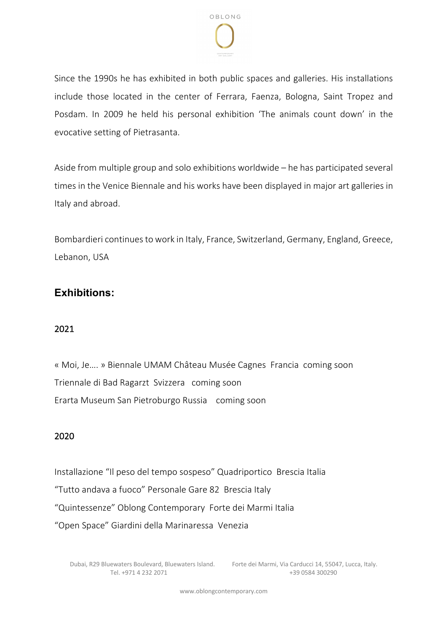

Since the 1990s he has exhibited in both public spaces and galleries. His installations include those located in the center of Ferrara, Faenza, Bologna, Saint Tropez and Posdam. In 2009 he held his personal exhibition 'The animals count down' in the evocative setting of Pietrasanta.

Aside from multiple group and solo exhibitions worldwide – he has participated several times in the Venice Biennale and his works have been displayed in major art galleries in Italy and abroad.

Bombardieri continues to work in Italy, France, Switzerland, Germany, England, Greece, Lebanon, USA

## **Exhibitions:**

## 2021

« Moi, Je…. » Biennale UMAM Château Musée Cagnes Francia coming soon Triennale di Bad Ragarzt Svizzera coming soon Erarta Museum San Pietroburgo Russia coming soon

## 2020

Installazione "Il peso del tempo sospeso" Quadriportico Brescia Italia "Tutto andava a fuoco" Personale Gare 82 Brescia Italy "Quintessenze" Oblong Contemporary Forte dei Marmi Italia "Open Space" Giardini della Marinaressa Venezia

Dubai, R29 Bluewaters Boulevard, Bluewaters Island. Forte dei Marmi, Via Carducci 14, 55047, Lucca, Italy. Tel. +971 4 232 2071 +39 0584 300290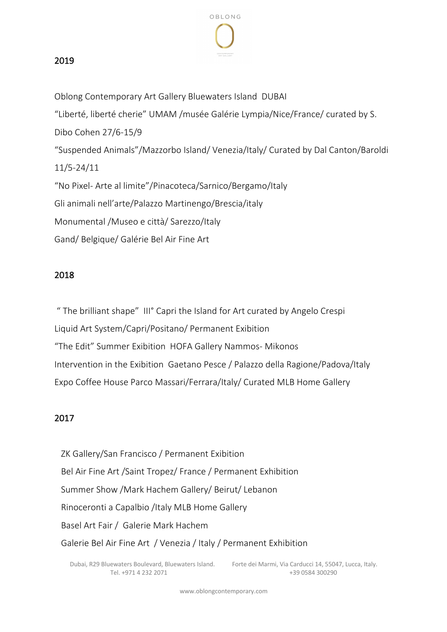

#### 2019

Oblong Contemporary Art Gallery Bluewaters Island DUBAI "Liberté, liberté cherie" UMAM /musée Galérie Lympia/Nice/France/ curated by S. Dibo Cohen 27/6-15/9 "Suspended Animals"/Mazzorbo Island/ Venezia/Italy/ Curated by Dal Canton/Baroldi 11/5-24/11 "No Pixel- Arte al limite"/Pinacoteca/Sarnico/Bergamo/Italy Gli animali nell'arte/Palazzo Martinengo/Brescia/italy Monumental /Museo e città/ Sarezzo/Italy Gand/ Belgique/ Galérie Bel Air Fine Art

#### 2018

" The brilliant shape" III° Capri the Island for Art curated by Angelo Crespi Liquid Art System/Capri/Positano/ Permanent Exibition "The Edit" Summer Exibition HOFA Gallery Nammos- Mikonos Intervention in the Exibition Gaetano Pesce / Palazzo della Ragione/Padova/Italy Expo Coffee House Parco Massari/Ferrara/Italy/ Curated MLB Home Gallery

#### 2017

 ZK Gallery/San Francisco / Permanent Exibition Bel Air Fine Art /Saint Tropez/ France / Permanent Exhibition Summer Show /Mark Hachem Gallery/ Beirut/ Lebanon Rinoceronti a Capalbio /Italy MLB Home Gallery Basel Art Fair / Galerie Mark Hachem Galerie Bel Air Fine Art / Venezia / Italy / Permanent Exhibition

Dubai, R29 Bluewaters Boulevard, Bluewaters Island. Forte dei Marmi, Via Carducci 14, 55047, Lucca, Italy. Tel. +971 4 232 2071 +39 0584 300290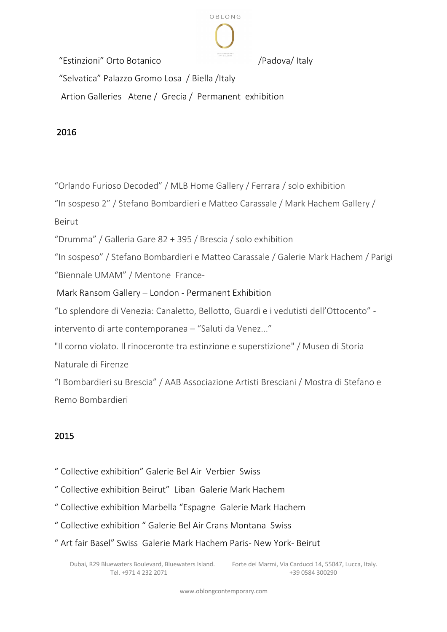

"Estinzioni" Orto Botanico /Padova/ Italy

"Selvatica" Palazzo Gromo Losa / Biella /Italy

Artion Galleries Atene / Grecia / Permanent exhibition

2016

"Orlando Furioso Decoded" / MLB Home Gallery / Ferrara / solo exhibition

"In sospeso 2" / Stefano Bombardieri e Matteo Carassale / Mark Hachem Gallery /

Beirut

"Drumma" / Galleria Gare 82 + 395 / Brescia / solo exhibition

"In sospeso" / Stefano Bombardieri e Matteo Carassale / Galerie Mark Hachem / Parigi "Biennale UMAM" / Mentone France-

Mark Ransom Gallery – London - Permanent Exhibition

"Lo splendore di Venezia: Canaletto, Bellotto, Guardi e i vedutisti dell'Ottocento" -

intervento di arte contemporanea – "Saluti da Venez..."

"Il corno violato. Il rinoceronte tra estinzione e superstizione" / Museo di Storia Naturale di Firenze

"I Bombardieri su Brescia" / AAB Associazione Artisti Bresciani / Mostra di Stefano e Remo Bombardieri

# 2015

- " Collective exhibition" Galerie Bel Air Verbier Swiss
- " Collective exhibition Beirut" Liban Galerie Mark Hachem
- " Collective exhibition Marbella "Espagne Galerie Mark Hachem
- " Collective exhibition " Galerie Bel Air Crans Montana Swiss
- " Art fair Basel" Swiss Galerie Mark Hachem Paris- New York- Beirut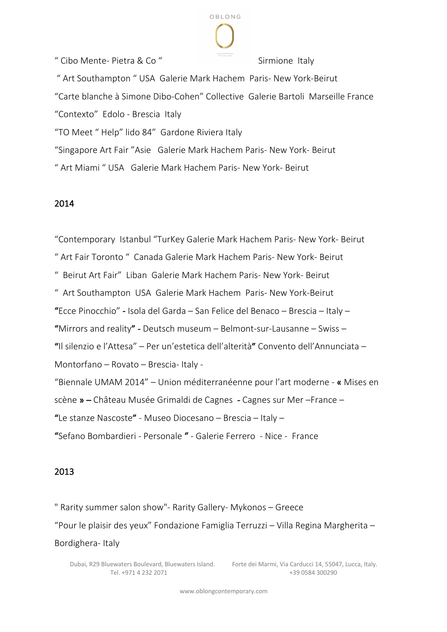" Cibo Mente- Pietra & Co " Sirmione Italy

" Art Southampton " USA Galerie Mark Hachem Paris- New York-Beirut "Carte blanche à Simone Dibo-Cohen" Collective Galerie Bartoli Marseille France "Contexto" Edolo - Brescia Italy "TO Meet " Help" lido 84" Gardone Riviera Italy

OBLONG

"Singapore Art Fair "Asie Galerie Mark Hachem Paris- New York- Beirut

" Art Miami " USA Galerie Mark Hachem Paris- New York- Beirut

## 2014

"Contemporary Istanbul "TurKey Galerie Mark Hachem Paris- New York- Beirut " Art Fair Toronto " Canada Galerie Mark Hachem Paris- New York- Beirut " Beirut Art Fair" Liban Galerie Mark Hachem Paris- New York- Beirut " Art Southampton USA Galerie Mark Hachem Paris- New York-Beirut "Ecce Pinocchio" - Isola del Garda – San Felice del Benaco – Brescia – Italy – "Mirrors and reality" - Deutsch museum – Belmont-sur-Lausanne – Swiss – "Il silenzio e l'Attesa" – Per un'estetica dell'alterità" Convento dell'Annunciata – Montorfano – Rovato – Brescia- Italy - "Biennale UMAM 2014" – Union méditerranéenne pour l'art moderne - « Mises en scène » – Château Musée Grimaldi de Cagnes - Cagnes sur Mer –France – "Le stanze Nascoste" - Museo Diocesano – Brescia – Italy – "Sefano Bombardieri - Personale " - Galerie Ferrero - Nice - France

## 2013

" Rarity summer salon show"- Rarity Gallery- Mykonos – Greece "Pour le plaisir des yeux" Fondazione Famiglia Terruzzi – Villa Regina Margherita – Bordighera- Italy

Tel. +971 4 232 2071 +39 0584 300290

Dubai, R29 Bluewaters Boulevard, Bluewaters Island. Forte dei Marmi, Via Carducci 14, 55047, Lucca, Italy.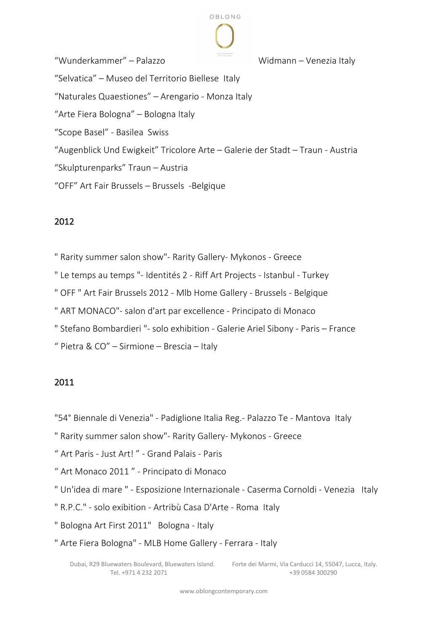

"Wunderkammer" – Palazzo Widmann – Venezia Italy "Selvatica" – Museo del Territorio Biellese Italy "Naturales Quaestiones" – Arengario - Monza Italy "Arte Fiera Bologna" – Bologna Italy "Scope Basel" - Basilea Swiss "Augenblick Und Ewigkeit" Tricolore Arte – Galerie der Stadt – Traun - Austria "Skulpturenparks" Traun – Austria "OFF" Art Fair Brussels – Brussels -Belgique

## 2012

" Rarity summer salon show"- Rarity Gallery- Mykonos - Greece

" Le temps au temps "- Identités 2 - Riff Art Projects - Istanbul - Turkey

" OFF " Art Fair Brussels 2012 - Mlb Home Gallery - Brussels - Belgique

" ART MONACO"- salon d'art par excellence - Principato di Monaco

" Stefano Bombardieri "- solo exhibition - Galerie Ariel Sibony - Paris – France

" Pietra & CO" – Sirmione – Brescia – Italy

## 2011

"54° Biennale di Venezia" - Padiglione Italia Reg.- Palazzo Te - Mantova Italy

" Rarity summer salon show"- Rarity Gallery- Mykonos - Greece

" Art Paris - Just Art! " - Grand Palais - Paris

" Art Monaco 2011 " - Principato di Monaco

" Un'idea di mare " - Esposizione Internazionale - Caserma Cornoldi - Venezia Italy

" R.P.C." - solo exibition - Artribù Casa D'Arte - Roma Italy

" Bologna Art First 2011" Bologna - Italy

" Arte Fiera Bologna" - MLB Home Gallery - Ferrara - Italy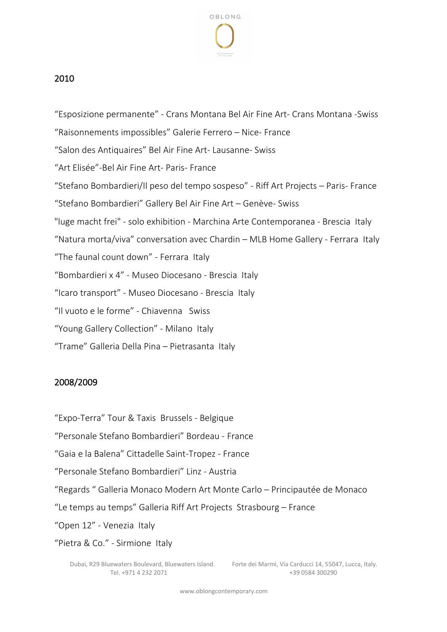

### 2010

"Esposizione permanente" - Crans Montana Bel Air Fine Art- Crans Montana -Swiss "Raisonnements impossibles" Galerie Ferrero – Nice- France "Salon des Antiquaires" Bel Air Fine Art- Lausanne- Swiss "Art Elisée"-Bel Air Fine Art- Paris- France "Stefano Bombardieri/Il peso del tempo sospeso" - Riff Art Projects – Paris- France "Stefano Bombardieri" Gallery Bel Air Fine Art – Genève- Swiss "luge macht frei" - solo exhibition - Marchina Arte Contemporanea - Brescia Italy "Natura morta/viva" conversation avec Chardin – MLB Home Gallery - Ferrara Italy "The faunal count down" - Ferrara Italy "Bombardieri x 4" - Museo Diocesano - Brescia Italy "Icaro transport" - Museo Diocesano - Brescia Italy "Il vuoto e le forme" - Chiavenna Swiss "Young Gallery Collection" - Milano Italy "Trame" Galleria Della Pina – Pietrasanta Italy

#### 2008/2009

"Expo-Terra" Tour & Taxis Brussels - Belgique

"Personale Stefano Bombardieri" Bordeau - France

"Gaia e la Balena" Cittadelle Saint-Tropez - France

"Personale Stefano Bombardieri" Linz - Austria

"Regards " Galleria Monaco Modern Art Monte Carlo – Principautée de Monaco

"Le temps au temps" Galleria Riff Art Projects Strasbourg – France

"Open 12" - Venezia Italy

"Pietra & Co." - Sirmione Italy

Tel. +971 4 232 2071 +39 0584 300290

Dubai, R29 Bluewaters Boulevard, Bluewaters Island. Forte dei Marmi, Via Carducci 14, 55047, Lucca, Italy.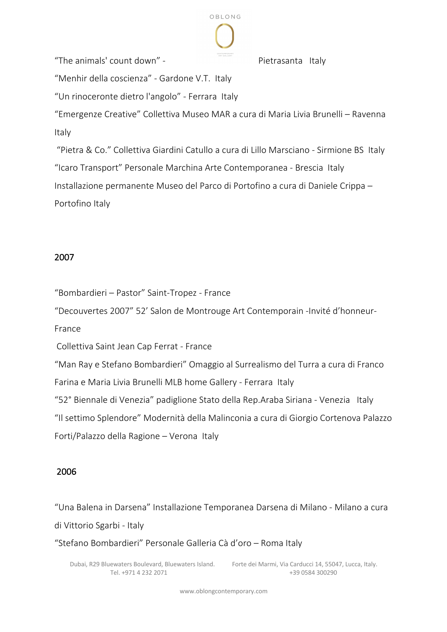

"The animals' count down" - The animals' count down" - The Pietrasanta Italy

"Menhir della coscienza" - Gardone V.T. Italy

"Un rinoceronte dietro l'angolo" - Ferrara Italy

"Emergenze Creative" Collettiva Museo MAR a cura di Maria Livia Brunelli – Ravenna Italy

"Pietra & Co." Collettiva Giardini Catullo a cura di Lillo Marsciano - Sirmione BS Italy "Icaro Transport" Personale Marchina Arte Contemporanea - Brescia Italy Installazione permanente Museo del Parco di Portofino a cura di Daniele Crippa – Portofino Italy

## 2007

"Bombardieri – Pastor" Saint-Tropez - France

"Decouvertes 2007" 52' Salon de Montrouge Art Contemporain -Invité d'honneur-

France

Collettiva Saint Jean Cap Ferrat - France

"Man Ray e Stefano Bombardieri" Omaggio al Surrealismo del Turra a cura di Franco

Farina e Maria Livia Brunelli MLB home Gallery - Ferrara Italy

"52° Biennale di Venezia" padiglione Stato della Rep.Araba Siriana - Venezia Italy

"Il settimo Splendore" Modernità della Malinconia a cura di Giorgio Cortenova Palazzo

Forti/Palazzo della Ragione – Verona Italy

## 2006

"Una Balena in Darsena" Installazione Temporanea Darsena di Milano - Milano a cura di Vittorio Sgarbi - Italy

"Stefano Bombardieri" Personale Galleria Cà d'oro – Roma Italy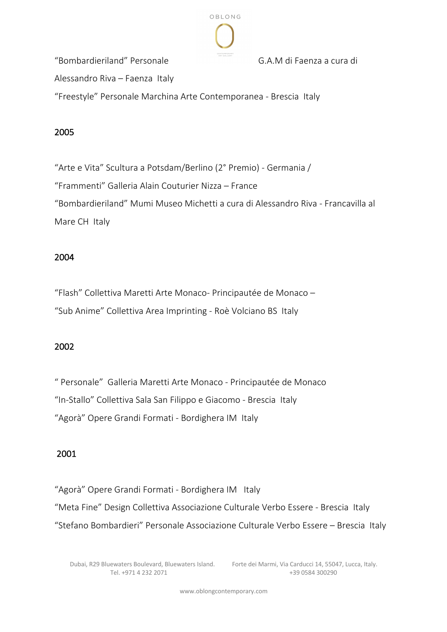

"Bombardieriland" Personale G.A.M di Faenza a cura di

Alessandro Riva – Faenza Italy

"Freestyle" Personale Marchina Arte Contemporanea - Brescia Italy

## 2005

"Arte e Vita" Scultura a Potsdam/Berlino (2° Premio) - Germania / "Frammenti" Galleria Alain Couturier Nizza – France "Bombardieriland" Mumi Museo Michetti a cura di Alessandro Riva - Francavilla al Mare CH Italy

## 2004

"Flash" Collettiva Maretti Arte Monaco- Principautée de Monaco – "Sub Anime" Collettiva Area Imprinting - Roè Volciano BS Italy

## 2002

" Personale" Galleria Maretti Arte Monaco - Principautée de Monaco "In-Stallo" Collettiva Sala San Filippo e Giacomo - Brescia Italy "Agorà" Opere Grandi Formati - Bordighera IM Italy

## 2001

"Agorà" Opere Grandi Formati - Bordighera IM Italy

"Meta Fine" Design Collettiva Associazione Culturale Verbo Essere - Brescia Italy

"Stefano Bombardieri" Personale Associazione Culturale Verbo Essere – Brescia Italy